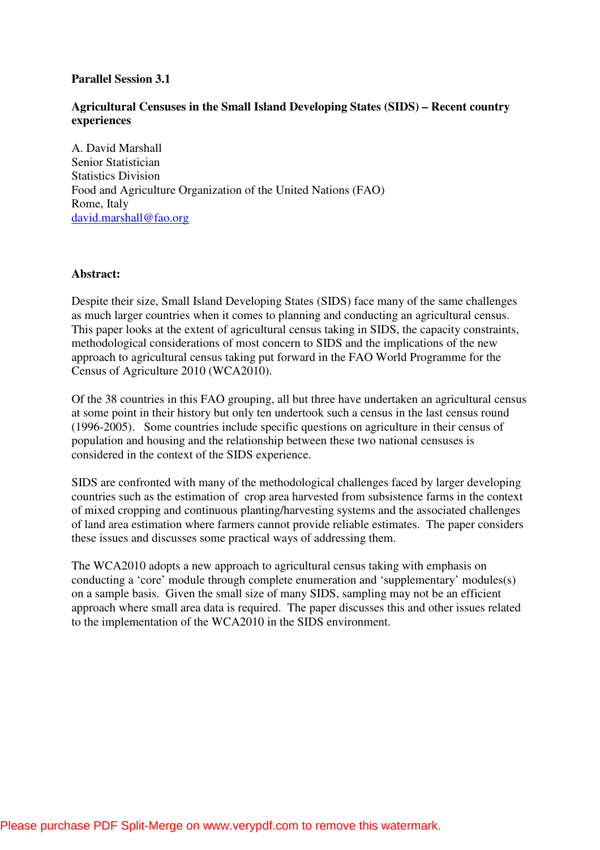### **Parallel Session 3.1**

## **Agricultural Censuses in the Small Island Developing States (SIDS) – Recent country experiences**

A. David Marshall Senior Statistician Statistics Division Food and Agriculture Organization of the United Nations (FAO) Rome, Italy david.marshall@fao.org

#### **Abstract:**

Despite their size, Small Island Developing States (SIDS) face many of the same challenges as much larger countries when it comes to planning and conducting an agricultural census. This paper looks at the extent of agricultural census taking in SIDS, the capacity constraints, methodological considerations of most concern to SIDS and the implications of the new approach to agricultural census taking put forward in the FAO World Programme for the Census of Agriculture 2010 (WCA2010).

Of the 38 countries in this FAO grouping, all but three have undertaken an agricultural census at some point in their history but only ten undertook such a census in the last census round (1996-2005). Some countries include specific questions on agriculture in their census of population and housing and the relationship between these two national censuses is considered in the context of the SIDS experience.

SIDS are confronted with many of the methodological challenges faced by larger developing countries such as the estimation of crop area harvested from subsistence farms in the context of mixed cropping and continuous planting/harvesting systems and the associated challenges of land area estimation where farmers cannot provide reliable estimates. The paper considers these issues and discusses some practical ways of addressing them.

The WCA2010 adopts a new approach to agricultural census taking with emphasis on conducting a 'core' module through complete enumeration and 'supplementary' modules(s) on a sample basis. Given the small size of many SIDS, sampling may not be an efficient approach where small area data is required. The paper discusses this and other issues related to the implementation of the WCA2010 in the SIDS environment.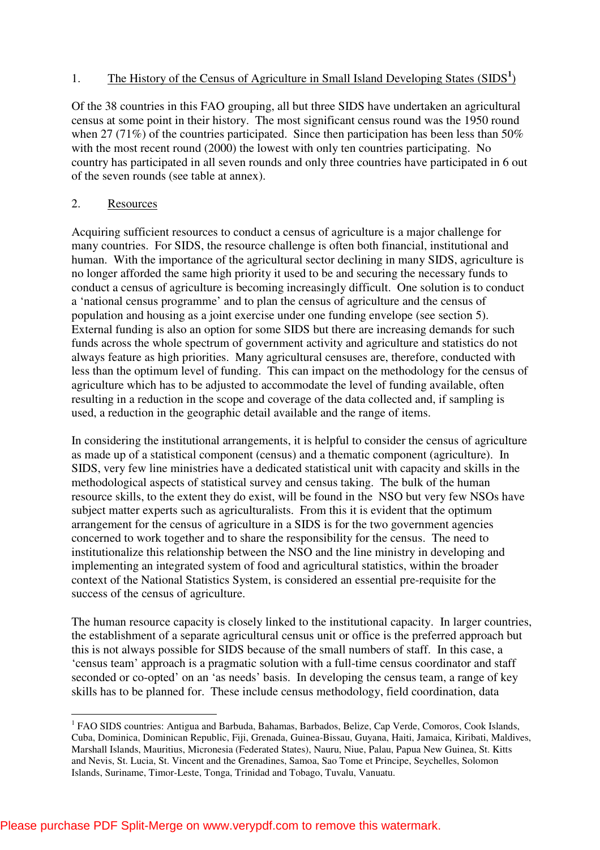## 1. The History of the Census of Agriculture in Small Island Developing States (SIDS<sup>1</sup>)

Of the 38 countries in this FAO grouping, all but three SIDS have undertaken an agricultural census at some point in their history. The most significant census round was the 1950 round when 27 (71%) of the countries participated. Since then participation has been less than 50% with the most recent round (2000) the lowest with only ten countries participating. No country has participated in all seven rounds and only three countries have participated in 6 out of the seven rounds (see table at annex).

#### 2. Resources

Acquiring sufficient resources to conduct a census of agriculture is a major challenge for many countries. For SIDS, the resource challenge is often both financial, institutional and human. With the importance of the agricultural sector declining in many SIDS, agriculture is no longer afforded the same high priority it used to be and securing the necessary funds to conduct a census of agriculture is becoming increasingly difficult. One solution is to conduct a 'national census programme' and to plan the census of agriculture and the census of population and housing as a joint exercise under one funding envelope (see section 5). External funding is also an option for some SIDS but there are increasing demands for such funds across the whole spectrum of government activity and agriculture and statistics do not always feature as high priorities. Many agricultural censuses are, therefore, conducted with less than the optimum level of funding. This can impact on the methodology for the census of agriculture which has to be adjusted to accommodate the level of funding available, often resulting in a reduction in the scope and coverage of the data collected and, if sampling is used, a reduction in the geographic detail available and the range of items.

In considering the institutional arrangements, it is helpful to consider the census of agriculture as made up of a statistical component (census) and a thematic component (agriculture). In SIDS, very few line ministries have a dedicated statistical unit with capacity and skills in the methodological aspects of statistical survey and census taking. The bulk of the human resource skills, to the extent they do exist, will be found in the NSO but very few NSOs have subject matter experts such as agriculturalists. From this it is evident that the optimum arrangement for the census of agriculture in a SIDS is for the two government agencies concerned to work together and to share the responsibility for the census. The need to institutionalize this relationship between the NSO and the line ministry in developing and implementing an integrated system of food and agricultural statistics, within the broader context of the National Statistics System, is considered an essential pre-requisite for the success of the census of agriculture.

The human resource capacity is closely linked to the institutional capacity. In larger countries, the establishment of a separate agricultural census unit or office is the preferred approach but this is not always possible for SIDS because of the small numbers of staff. In this case, a 'census team' approach is a pragmatic solution with a full-time census coordinator and staff seconded or co-opted' on an 'as needs' basis. In developing the census team, a range of key skills has to be planned for. These include census methodology, field coordination, data

 $\overline{a}$ <sup>1</sup> FAO SIDS countries: Antigua and Barbuda, Bahamas, Barbados, Belize, Cap Verde, Comoros, Cook Islands, Cuba, Dominica, Dominican Republic, Fiji, Grenada, Guinea-Bissau, Guyana, Haiti, Jamaica, Kiribati, Maldives, Marshall Islands, Mauritius, Micronesia (Federated States), Nauru, Niue, Palau, Papua New Guinea, St. Kitts and Nevis, St. Lucia, St. Vincent and the Grenadines, Samoa, Sao Tome et Principe, Seychelles, Solomon Islands, Suriname, Timor-Leste, Tonga, Trinidad and Tobago, Tuvalu, Vanuatu.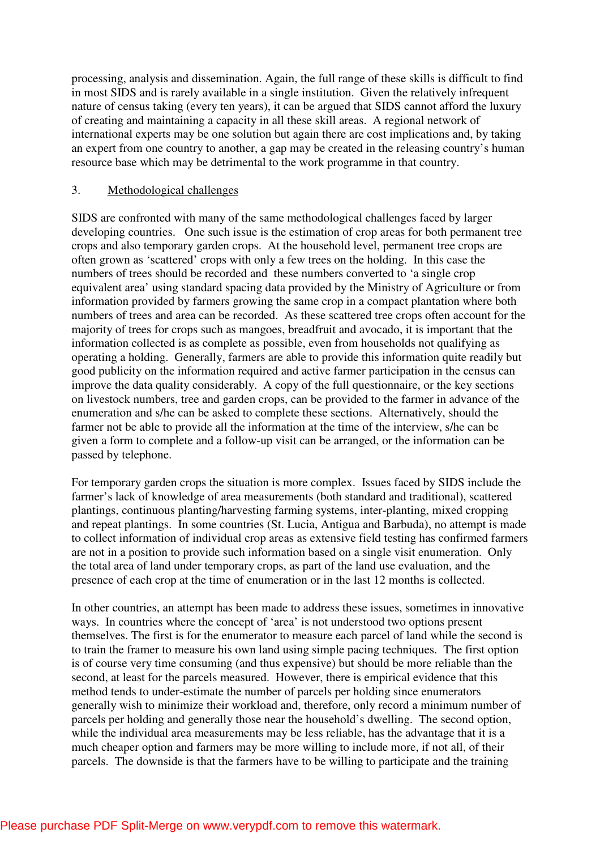processing, analysis and dissemination. Again, the full range of these skills is difficult to find in most SIDS and is rarely available in a single institution. Given the relatively infrequent nature of census taking (every ten years), it can be argued that SIDS cannot afford the luxury of creating and maintaining a capacity in all these skill areas. A regional network of international experts may be one solution but again there are cost implications and, by taking an expert from one country to another, a gap may be created in the releasing country's human resource base which may be detrimental to the work programme in that country.

#### 3. Methodological challenges

SIDS are confronted with many of the same methodological challenges faced by larger developing countries. One such issue is the estimation of crop areas for both permanent tree crops and also temporary garden crops. At the household level, permanent tree crops are often grown as 'scattered' crops with only a few trees on the holding. In this case the numbers of trees should be recorded and these numbers converted to 'a single crop equivalent area' using standard spacing data provided by the Ministry of Agriculture or from information provided by farmers growing the same crop in a compact plantation where both numbers of trees and area can be recorded. As these scattered tree crops often account for the majority of trees for crops such as mangoes, breadfruit and avocado, it is important that the information collected is as complete as possible, even from households not qualifying as operating a holding. Generally, farmers are able to provide this information quite readily but good publicity on the information required and active farmer participation in the census can improve the data quality considerably. A copy of the full questionnaire, or the key sections on livestock numbers, tree and garden crops, can be provided to the farmer in advance of the enumeration and s/he can be asked to complete these sections. Alternatively, should the farmer not be able to provide all the information at the time of the interview, s/he can be given a form to complete and a follow-up visit can be arranged, or the information can be passed by telephone.

For temporary garden crops the situation is more complex. Issues faced by SIDS include the farmer's lack of knowledge of area measurements (both standard and traditional), scattered plantings, continuous planting/harvesting farming systems, inter-planting, mixed cropping and repeat plantings. In some countries (St. Lucia, Antigua and Barbuda), no attempt is made to collect information of individual crop areas as extensive field testing has confirmed farmers are not in a position to provide such information based on a single visit enumeration. Only the total area of land under temporary crops, as part of the land use evaluation, and the presence of each crop at the time of enumeration or in the last 12 months is collected.

In other countries, an attempt has been made to address these issues, sometimes in innovative ways. In countries where the concept of 'area' is not understood two options present themselves. The first is for the enumerator to measure each parcel of land while the second is to train the framer to measure his own land using simple pacing techniques. The first option is of course very time consuming (and thus expensive) but should be more reliable than the second, at least for the parcels measured. However, there is empirical evidence that this method tends to under-estimate the number of parcels per holding since enumerators generally wish to minimize their workload and, therefore, only record a minimum number of parcels per holding and generally those near the household's dwelling. The second option, while the individual area measurements may be less reliable, has the advantage that it is a much cheaper option and farmers may be more willing to include more, if not all, of their parcels. The downside is that the farmers have to be willing to participate and the training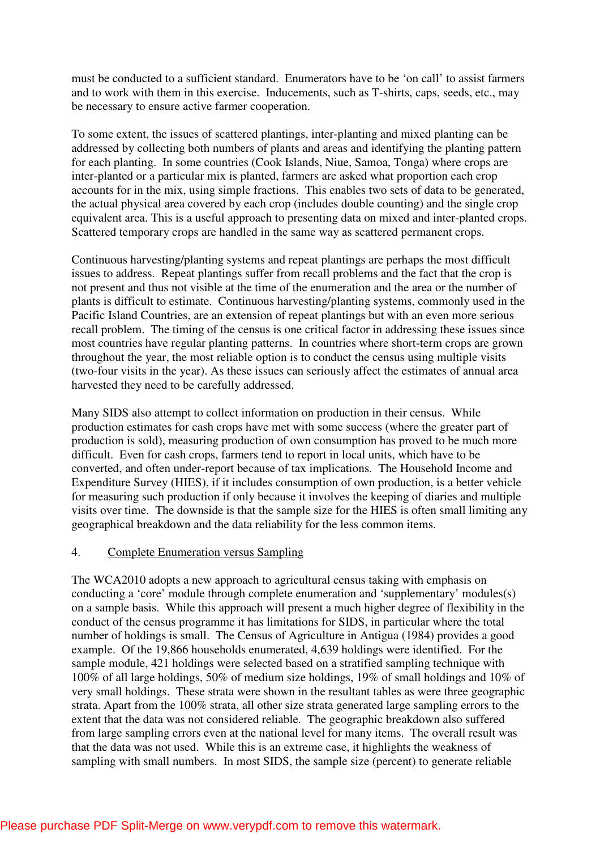must be conducted to a sufficient standard. Enumerators have to be 'on call' to assist farmers and to work with them in this exercise. Inducements, such as T-shirts, caps, seeds, etc., may be necessary to ensure active farmer cooperation.

To some extent, the issues of scattered plantings, inter-planting and mixed planting can be addressed by collecting both numbers of plants and areas and identifying the planting pattern for each planting. In some countries (Cook Islands, Niue, Samoa, Tonga) where crops are inter-planted or a particular mix is planted, farmers are asked what proportion each crop accounts for in the mix, using simple fractions. This enables two sets of data to be generated, the actual physical area covered by each crop (includes double counting) and the single crop equivalent area. This is a useful approach to presenting data on mixed and inter-planted crops. Scattered temporary crops are handled in the same way as scattered permanent crops.

Continuous harvesting/planting systems and repeat plantings are perhaps the most difficult issues to address. Repeat plantings suffer from recall problems and the fact that the crop is not present and thus not visible at the time of the enumeration and the area or the number of plants is difficult to estimate. Continuous harvesting/planting systems, commonly used in the Pacific Island Countries, are an extension of repeat plantings but with an even more serious recall problem. The timing of the census is one critical factor in addressing these issues since most countries have regular planting patterns. In countries where short-term crops are grown throughout the year, the most reliable option is to conduct the census using multiple visits (two-four visits in the year). As these issues can seriously affect the estimates of annual area harvested they need to be carefully addressed.

Many SIDS also attempt to collect information on production in their census. While production estimates for cash crops have met with some success (where the greater part of production is sold), measuring production of own consumption has proved to be much more difficult. Even for cash crops, farmers tend to report in local units, which have to be converted, and often under-report because of tax implications. The Household Income and Expenditure Survey (HIES), if it includes consumption of own production, is a better vehicle for measuring such production if only because it involves the keeping of diaries and multiple visits over time. The downside is that the sample size for the HIES is often small limiting any geographical breakdown and the data reliability for the less common items.

#### 4. Complete Enumeration versus Sampling

The WCA2010 adopts a new approach to agricultural census taking with emphasis on conducting a 'core' module through complete enumeration and 'supplementary' modules(s) on a sample basis. While this approach will present a much higher degree of flexibility in the conduct of the census programme it has limitations for SIDS, in particular where the total number of holdings is small. The Census of Agriculture in Antigua (1984) provides a good example. Of the 19,866 households enumerated, 4,639 holdings were identified. For the sample module, 421 holdings were selected based on a stratified sampling technique with 100% of all large holdings, 50% of medium size holdings, 19% of small holdings and 10% of very small holdings. These strata were shown in the resultant tables as were three geographic strata. Apart from the 100% strata, all other size strata generated large sampling errors to the extent that the data was not considered reliable. The geographic breakdown also suffered from large sampling errors even at the national level for many items. The overall result was that the data was not used. While this is an extreme case, it highlights the weakness of sampling with small numbers. In most SIDS, the sample size (percent) to generate reliable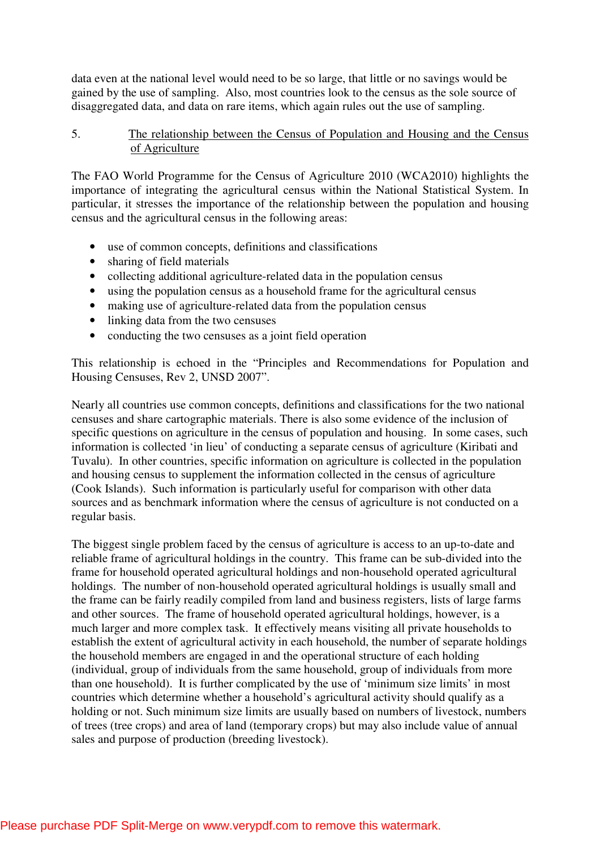data even at the national level would need to be so large, that little or no savings would be gained by the use of sampling. Also, most countries look to the census as the sole source of disaggregated data, and data on rare items, which again rules out the use of sampling.

### 5. The relationship between the Census of Population and Housing and the Census of Agriculture

The FAO World Programme for the Census of Agriculture 2010 (WCA2010) highlights the importance of integrating the agricultural census within the National Statistical System. In particular, it stresses the importance of the relationship between the population and housing census and the agricultural census in the following areas:

- use of common concepts, definitions and classifications
- sharing of field materials
- collecting additional agriculture-related data in the population census
- using the population census as a household frame for the agricultural census
- making use of agriculture-related data from the population census
- linking data from the two censuses
- conducting the two censuses as a joint field operation

This relationship is echoed in the "Principles and Recommendations for Population and Housing Censuses, Rev 2, UNSD 2007".

Nearly all countries use common concepts, definitions and classifications for the two national censuses and share cartographic materials. There is also some evidence of the inclusion of specific questions on agriculture in the census of population and housing. In some cases, such information is collected 'in lieu' of conducting a separate census of agriculture (Kiribati and Tuvalu). In other countries, specific information on agriculture is collected in the population and housing census to supplement the information collected in the census of agriculture (Cook Islands). Such information is particularly useful for comparison with other data sources and as benchmark information where the census of agriculture is not conducted on a regular basis.

The biggest single problem faced by the census of agriculture is access to an up-to-date and reliable frame of agricultural holdings in the country. This frame can be sub-divided into the frame for household operated agricultural holdings and non-household operated agricultural holdings. The number of non-household operated agricultural holdings is usually small and the frame can be fairly readily compiled from land and business registers, lists of large farms and other sources. The frame of household operated agricultural holdings, however, is a much larger and more complex task. It effectively means visiting all private households to establish the extent of agricultural activity in each household, the number of separate holdings the household members are engaged in and the operational structure of each holding (individual, group of individuals from the same household, group of individuals from more than one household). It is further complicated by the use of 'minimum size limits' in most countries which determine whether a household's agricultural activity should qualify as a holding or not. Such minimum size limits are usually based on numbers of livestock, numbers of trees (tree crops) and area of land (temporary crops) but may also include value of annual sales and purpose of production (breeding livestock).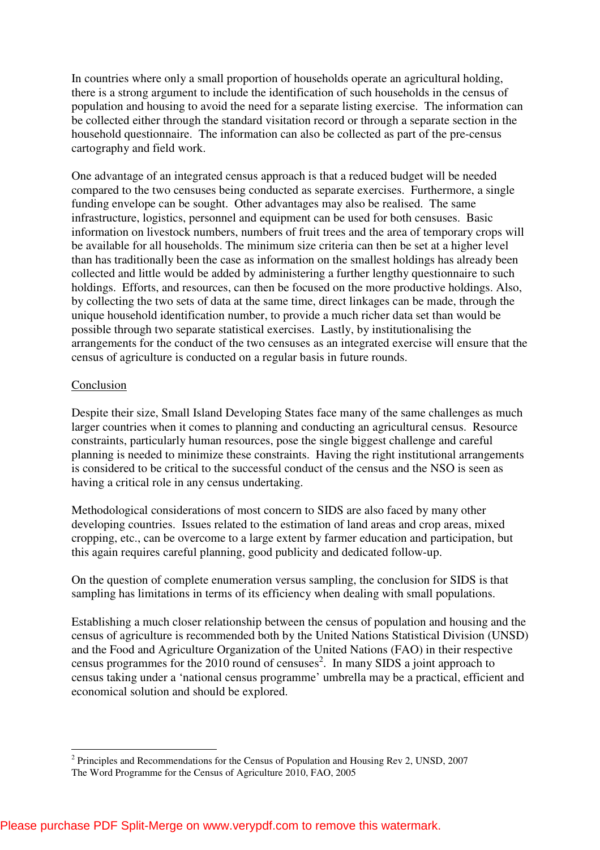In countries where only a small proportion of households operate an agricultural holding, there is a strong argument to include the identification of such households in the census of population and housing to avoid the need for a separate listing exercise. The information can be collected either through the standard visitation record or through a separate section in the household questionnaire. The information can also be collected as part of the pre-census cartography and field work.

One advantage of an integrated census approach is that a reduced budget will be needed compared to the two censuses being conducted as separate exercises. Furthermore, a single funding envelope can be sought. Other advantages may also be realised. The same infrastructure, logistics, personnel and equipment can be used for both censuses. Basic information on livestock numbers, numbers of fruit trees and the area of temporary crops will be available for all households. The minimum size criteria can then be set at a higher level than has traditionally been the case as information on the smallest holdings has already been collected and little would be added by administering a further lengthy questionnaire to such holdings. Efforts, and resources, can then be focused on the more productive holdings. Also, by collecting the two sets of data at the same time, direct linkages can be made, through the unique household identification number, to provide a much richer data set than would be possible through two separate statistical exercises. Lastly, by institutionalising the arrangements for the conduct of the two censuses as an integrated exercise will ensure that the census of agriculture is conducted on a regular basis in future rounds.

#### Conclusion

 $\overline{a}$ 

Despite their size, Small Island Developing States face many of the same challenges as much larger countries when it comes to planning and conducting an agricultural census. Resource constraints, particularly human resources, pose the single biggest challenge and careful planning is needed to minimize these constraints. Having the right institutional arrangements is considered to be critical to the successful conduct of the census and the NSO is seen as having a critical role in any census undertaking.

Methodological considerations of most concern to SIDS are also faced by many other developing countries. Issues related to the estimation of land areas and crop areas, mixed cropping, etc., can be overcome to a large extent by farmer education and participation, but this again requires careful planning, good publicity and dedicated follow-up.

On the question of complete enumeration versus sampling, the conclusion for SIDS is that sampling has limitations in terms of its efficiency when dealing with small populations.

Establishing a much closer relationship between the census of population and housing and the census of agriculture is recommended both by the United Nations Statistical Division (UNSD) and the Food and Agriculture Organization of the United Nations (FAO) in their respective census programmes for the 2010 round of censuses<sup>2</sup>. In many SIDS a joint approach to census taking under a 'national census programme' umbrella may be a practical, efficient and economical solution and should be explored.

 $2$  Principles and Recommendations for the Census of Population and Housing Rev 2, UNSD, 2007

The Word Programme for the Census of Agriculture 2010, FAO, 2005